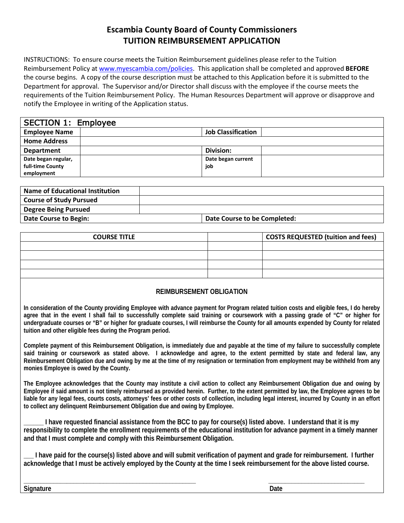## **Escambia County Board of County Commissioners TUITION REIMBURSEMENT APPLICATION**

INSTRUCTIONS: To ensure course meets the Tuition Reimbursement guidelines please refer to the Tuition Reimbursement Policy at [www.myescambia.com/policies.](http://www.myescambia.com/policies) This application shall be completed and approved **BEFORE**  the course begins. A copy of the course description must be attached to this Application before it is submitted to the Department for approval. The Supervisor and/or Director shall discuss with the employee if the course meets the requirements of the Tuition Reimbursement Policy. The Human Resources Department will approve or disapprove and notify the Employee in writing of the Application status.

| <b>SECTION 1: Employee</b> |                           |  |
|----------------------------|---------------------------|--|
| <b>Employee Name</b>       | <b>Job Classification</b> |  |
| <b>Home Address</b>        |                           |  |
| <b>Department</b>          | Division:                 |  |
| Date began regular,        | Date began current        |  |
| full-time County           | job                       |  |
| employment                 |                           |  |

| Name of Educational Institution |                              |  |
|---------------------------------|------------------------------|--|
| <b>Course of Study Pursued</b>  |                              |  |
| <b>Degree Being Pursued</b>     |                              |  |
| Date Course to Begin:           | Date Course to be Completed: |  |

| <b>COURSE TITLE</b> | <b>COSTS REQUESTED (tuition and fees)</b> |
|---------------------|-------------------------------------------|
|                     |                                           |
|                     |                                           |
|                     |                                           |
|                     |                                           |
|                     |                                           |

## **REIMBURSEMENT OBLIGATION**

**In consideration of the County providing Employee with advance payment for Program related tuition costs and eligible fees, I do hereby agree that in the event I shall fail to successfully complete said training or coursework with a passing grade of "C" or higher for undergraduate courses or "B" or higher for graduate courses, I will reimburse the County for all amounts expended by County for related tuition and other eligible fees during the Program period.** 

**Complete payment of this Reimbursement Obligation, is immediately due and payable at the time of my failure to successfully complete said training or coursework as stated above. I acknowledge and agree, to the extent permitted by state and federal law, any Reimbursement Obligation due and owing by me at the time of my resignation or termination from employment may be withheld from any monies Employee is owed by the County.**

**The Employee acknowledges that the County may institute a civil action to collect any Reimbursement Obligation due and owing by Employee if said amount is not timely reimbursed as provided herein. Further, to the extent permitted by law, the Employee agrees to be liable for any legal fees, courts costs, attorneys' fees or other costs of collection, including legal interest, incurred by County in an effort to collect any delinquent Reimbursement Obligation due and owing by Employee.**

**\_\_\_\_\_\_ I have requested financial assistance from the BCC to pay for course(s) listed above. I understand that it is my responsibility to complete the enrollment requirements of the educational institution for advance payment in a timely manner and that I must complete and comply with this Reimbursement Obligation.** 

**\_\_\_ I have paid for the course(s) listed above and will submit verification of payment and grade for reimbursement. I further acknowledge that I must be actively employed by the County at the time I seek reimbursement for the above listed course.** 

**\_\_\_\_\_\_\_\_\_\_\_\_\_\_\_\_\_\_\_\_\_\_\_\_\_\_\_\_\_\_\_\_\_\_\_\_\_\_\_\_\_\_\_\_\_\_\_\_\_\_\_\_ \_\_\_\_\_\_\_\_\_\_\_\_\_\_\_\_\_\_\_\_\_\_\_\_\_\_\_\_\_ Signature** Date